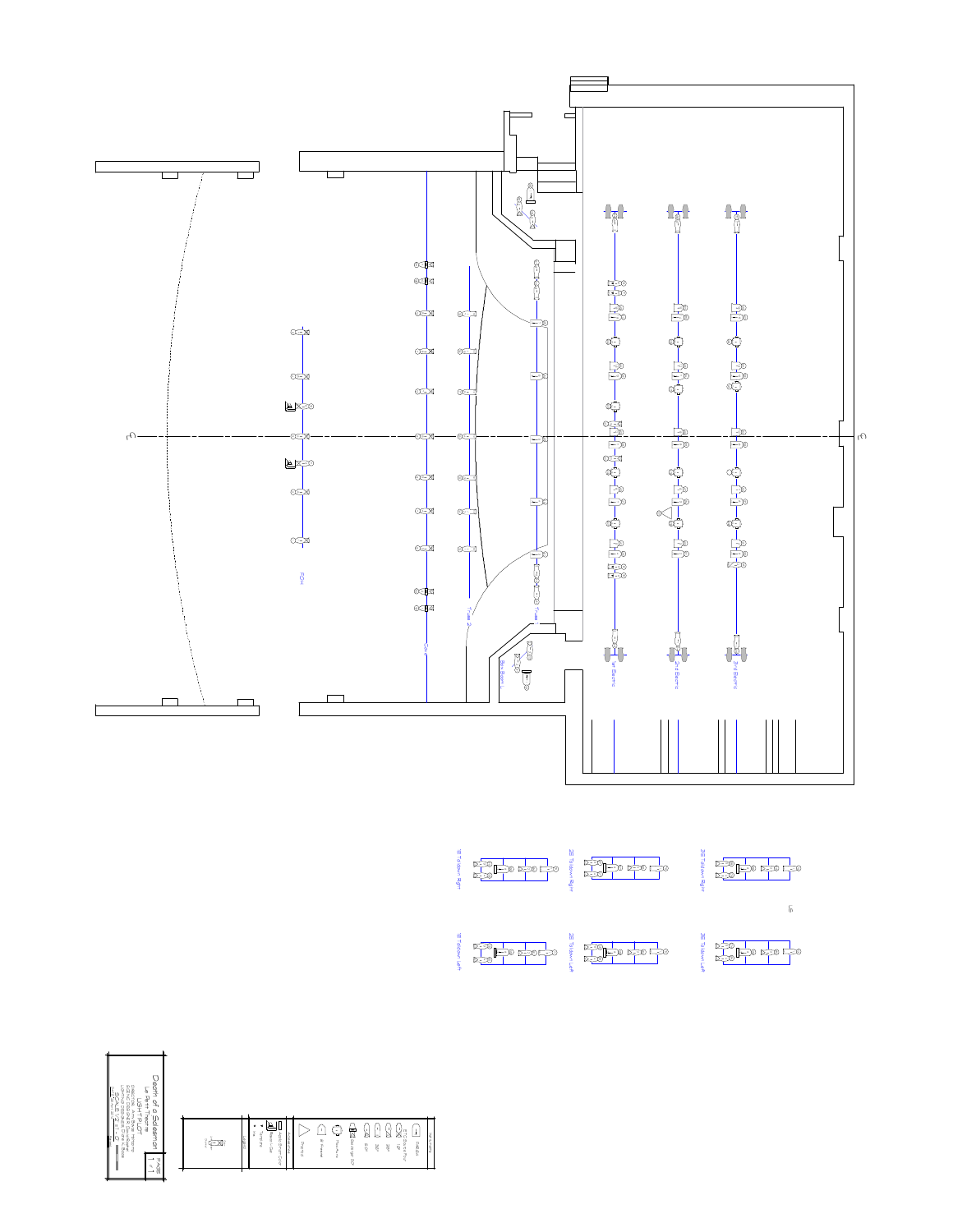

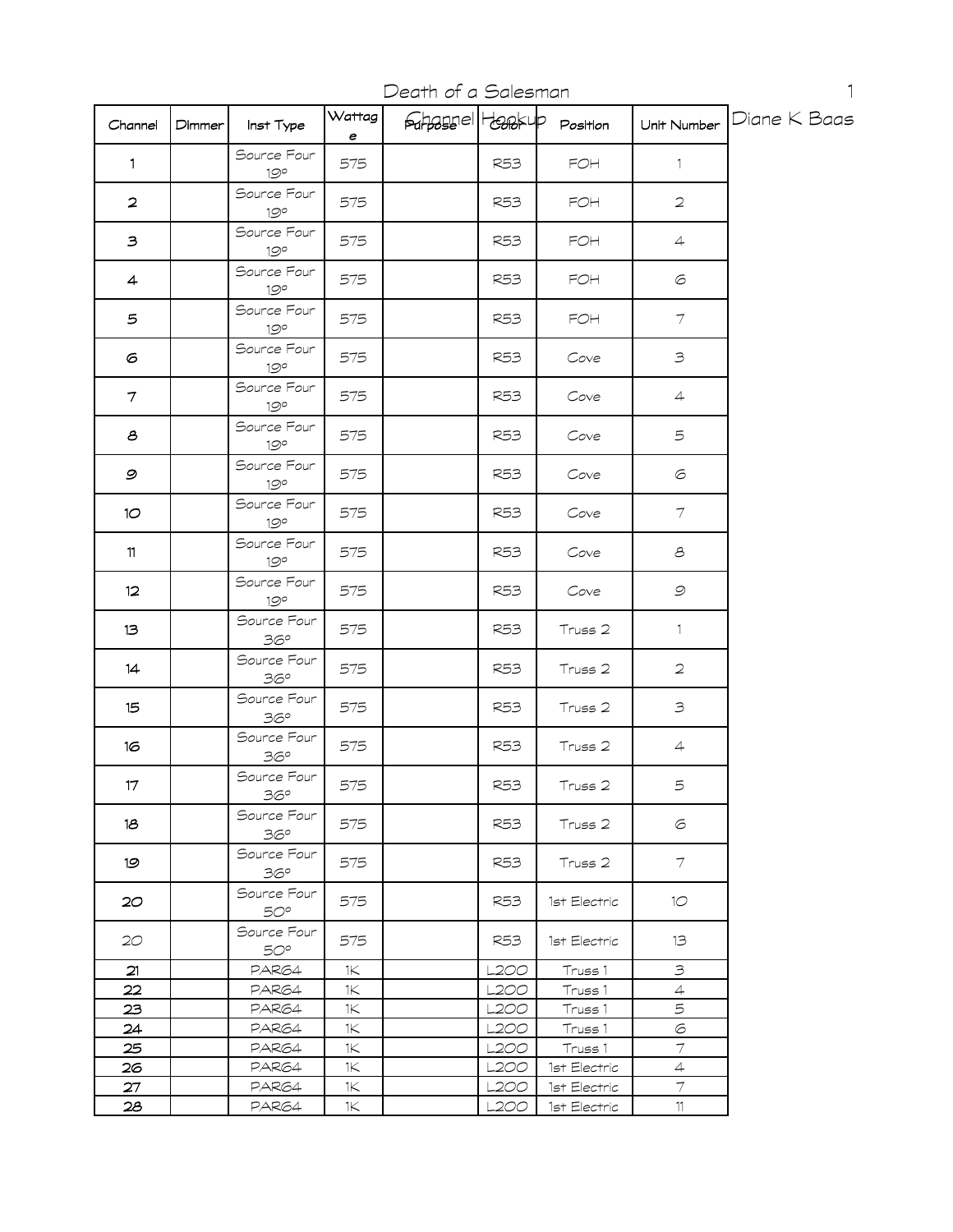Death of a Salesman

| Channel         | Dimmer | Inst Type                   | Wattag<br>е           | <b>Fahassell</b> Hansup |             | Position                         | Unit Number                | Diane K Baas |
|-----------------|--------|-----------------------------|-----------------------|-------------------------|-------------|----------------------------------|----------------------------|--------------|
| $\mathbf{1}$    |        | Source Four<br>19°          | 575                   |                         | <b>R53</b>  | $\mathsf{F}\mathsf{O}\mathsf{H}$ | $\mathbf{1}$               |              |
| $\mathbf{z}$    |        | Source Four<br>19°          | 575                   |                         | <b>R53</b>  | $\mathsf{F}\mathsf{O}\mathsf{H}$ | $\overline{2}$             |              |
| $\mathbf{B}$    |        | Source Four<br>19°          | 575                   |                         | <b>R53</b>  | $\mathsf{F}\mathsf{O}\mathsf{H}$ | $\overline{4}$             |              |
| 4               |        | Source Four<br>19°          | 575                   |                         | <b>R53</b>  | FOH                              | 6                          |              |
| 5               |        | Source Four<br>19°          | 575                   |                         | R53         | FOH                              | $\tau$                     |              |
| 6               |        | Source Four<br>19°          | 575                   |                         | <b>R53</b>  | Cove                             | $\mathfrak{Z}$             |              |
| $\tau$          |        | Source Four<br>19°          | 575                   |                         | <b>R53</b>  | Cove                             | $\overline{4}$             |              |
| 8               |        | Source Four<br>19°          | 575                   |                         | <b>R53</b>  | Cove                             | 5                          |              |
| 9               |        | Source Four<br>19°          | 575                   |                         | <b>R53</b>  | Cove                             | 6                          |              |
| 10 <sup>o</sup> |        | Source Four<br>19°          | 575                   |                         | <b>R53</b>  | Cove                             | $\overline{\mathcal{I}}$   |              |
| 11              |        | Source Four<br>19°          | 575                   |                         | <b>R53</b>  | Cove                             | $\mathcal S$               |              |
| 12              |        | Source Four<br>19°          | 575                   |                         | <b>R53</b>  | Cove                             | 9                          |              |
| 13              |        | Source Four<br>36°          | 575                   |                         | <b>R53</b>  | Truss 2                          | $\mathbb{1}$               |              |
| 14              |        | Source Four<br>36°          | 575                   |                         | <b>R53</b>  | Truss 2                          | $\overline{2}$             |              |
| 15              |        | Source Four<br>36°          | 575                   |                         | <b>R53</b>  | Truss 2                          | $\mathfrak{Z}$             |              |
| 16              |        | Source Four<br>36°          | 575                   |                         | <b>R53</b>  | Truss 2                          | $\overline{4}$             |              |
| 17              |        | Source Four<br>36°          | 575                   |                         | <b>R53</b>  | Truss 2                          | 5                          |              |
| 18              |        | Source Four<br>36°          | 575                   |                         | <b>R53</b>  | Truss 2                          | 6                          |              |
| 19              |        | Source Four<br>36°          | 575                   |                         | <b>R53</b>  | Truss 2                          | $\tau$                     |              |
| 20 <sub>2</sub> |        | Source Four<br>50°          | 575                   |                         | <b>R53</b>  | 1st Electric                     | 10 <sup>°</sup>            |              |
| 20              |        | Source Four<br>$5O^{\circ}$ | 575                   |                         | R53         | 1st Electric                     | 13                         |              |
| 21              |        | PAR64                       | 1K                    |                         | <b>L200</b> | Truss 1                          | $\ensuremath{\mathcal{S}}$ |              |
| 22              |        | PAR64                       | $1\!\!\!\!\!\!\times$ |                         | L2OO        | Truss 1                          | $\overline{4}$             |              |
| 23              |        | PAR64                       | $1\!\!\!\!\!\!\times$ |                         | L200        | Truss 1                          | 5                          |              |
| 24              |        | PAR64                       | $1\!\!\!\!\!\!\times$ |                         | L200        | Truss 1                          | $\odot$                    |              |
| 25              |        | PAR64                       | $1\!\!\!\!\!\!\times$ |                         | L2OO        | Truss 1                          | $\overline{\mathcal{I}}$   |              |
| 26              |        | PAR64                       | 1<                    |                         | L2OO        | 1st Electric                     | $\ensuremath{\mathsf{4}}$  |              |
| 27              |        | PAR64                       | $1\!\!\!\!\!\!\times$ |                         | L2OO        | 1st Electric                     | $\overline{\mathcal{I}}$   |              |
| <u>28</u>       |        | PAR64                       | 1<                    |                         | L2OO        | 1st Electric                     | 11                         |              |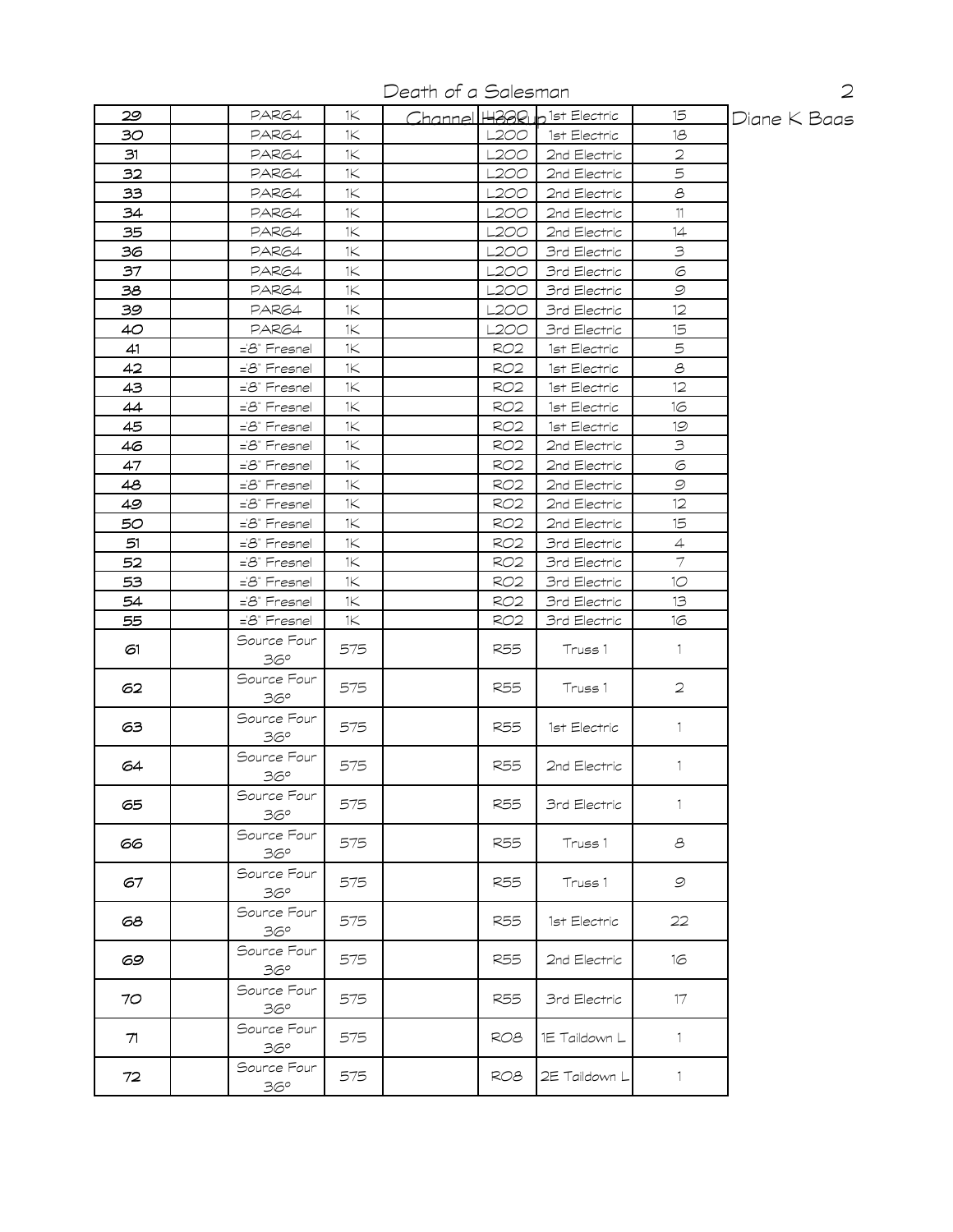Death of a Salesman

| 29 | PAR64                    | 1K.  |                 | Channel H300 b1st Electric | 15             | Diane K Baas |
|----|--------------------------|------|-----------------|----------------------------|----------------|--------------|
| 30 | PAR64                    | 1K   | L2OO            | 1st Electric               | 18             |              |
| 31 | PAR64                    | 1K   | L2OO            | 2nd Electric               | 2              |              |
| 32 | PAR64                    | 1K   | L2OO            | 2nd Electric               | 5              |              |
| 33 | PAR64                    | 1<   | L200            | 2nd Electric               | $\mathcal S$   |              |
| 34 | PAR64                    | 1<   | L2OO            | 2nd Electric               | 11             |              |
| 35 | PAR64                    | 1<   | L200            | 2nd Electric               | 14             |              |
| 36 | PAR64                    | 1Κ   | L2OO            | 3rd Electric               | $\mathfrak{S}$ |              |
| 37 | PAR64                    | 1K   | L200            | 3rd Electric               | 6              |              |
| 38 | PAR64                    | 1Κ   | L2OO            | 3rd Electric               | $\mathcal{Q}$  |              |
| 39 | PAR64                    | 1K   | L2OO            | 3rd Electric               | 12             |              |
| 40 | PAR64                    | 1<   | L200            | 3rd Electric               | 15             |              |
| 41 | ='8" Fresnel             | 1K   | RO2             | 1st Electric               | 5              |              |
| 42 | ='8" Fresnel             | 1Κ   | RO2             | 1st Electric               | $\mathcal S$   |              |
| 43 | ='8" Fresnel             | 1<   | RO <sub>2</sub> | 1st Electric               | 12             |              |
| 44 | $=8$ " Fresnel           | 1<   | RO2             | 1st Electric               | 16             |              |
| 45 | ='8" Fresnel             | 1<   | RO <sub>2</sub> | 1st Electric               | 19             |              |
| 46 | ='8" Fresnel             | 1<   | RO <sub>2</sub> | 2nd Electric               | $\exists$      |              |
| 47 | $=8$ " Fresnel           | 1<   | RO2             | 2nd Electric               | $\odot$        |              |
| 48 | ='8" Fresnel             | 1<   | RO2             | 2nd Electric               | $\mathcal{Q}$  |              |
| 49 | $=8$ " Fresnel           | 1K   | RO2             | 2nd Electric               | 12             |              |
| 50 | ='8" Fresnel             | 1K   | RO <sub>2</sub> | 2nd Electric               | 15             |              |
| 51 | ='8" Fresnel             | 1K   | <b>RO2</b>      | 3rd Electric               | $\overline{4}$ |              |
| 52 | ='8" Fresnel             | 1K   | RO <sub>2</sub> | 3rd Electric               | $\tau$         |              |
| 53 | ='8" Fresnel             | 1K   | RO2             | 3rd Electric               | 10             |              |
| 54 | $=8$ " Fresnel           | 1K   | RO2             | 3rd Electric               | 13             |              |
| 55 | $=\mathcal{B}$ " Fresnel | 1K . | RO2             | 3rd Electric               | 16             |              |
|    | Source Four              |      |                 |                            |                |              |
| 61 | 36°                      | 575  | R55             | Truss 1                    | $\mathbf{1}$   |              |
| 62 | Source Four              | 575  | R55             | Truss 1                    | $\mathbf{2}$   |              |
|    | 36°                      |      |                 |                            |                |              |
| 63 | Source Four<br>36°       | 575  | R55             | 1st Electric               | $\mathbf{1}$   |              |
| 64 | Source Four<br>36°       | 575  | R55             | 2nd Electric               | $\mathbb{1}$   |              |
| 65 | Source Four              | 575  | <b>R55</b>      | 3rd Electric               | $\mathbf{1}$   |              |
|    | 36°                      |      |                 |                            |                |              |
| 66 | Source Four<br>36°       | 575  | R55             | Truss 1                    | 8              |              |
| 67 | Source Four<br>36°       | 575  | R55             | Truss 1                    | 9              |              |
| පෙ | Source Four<br>36°       | 575  | R55             | 1st Electric               | 22             |              |
| 69 | Source Four<br>36°       | 575  | <b>R55</b>      | 2nd Electric               | 16             |              |
| 70 | Source Four<br>36°       | 575  | R55             | 3rd Electric               | 17             |              |
| 71 | Source Four<br>36°       | 575  | RO8             | 1E Taildown L              | 1              |              |
| 72 | Source Four<br>36°       | 575  | ROB.            | 2E Taildown L              | 1              |              |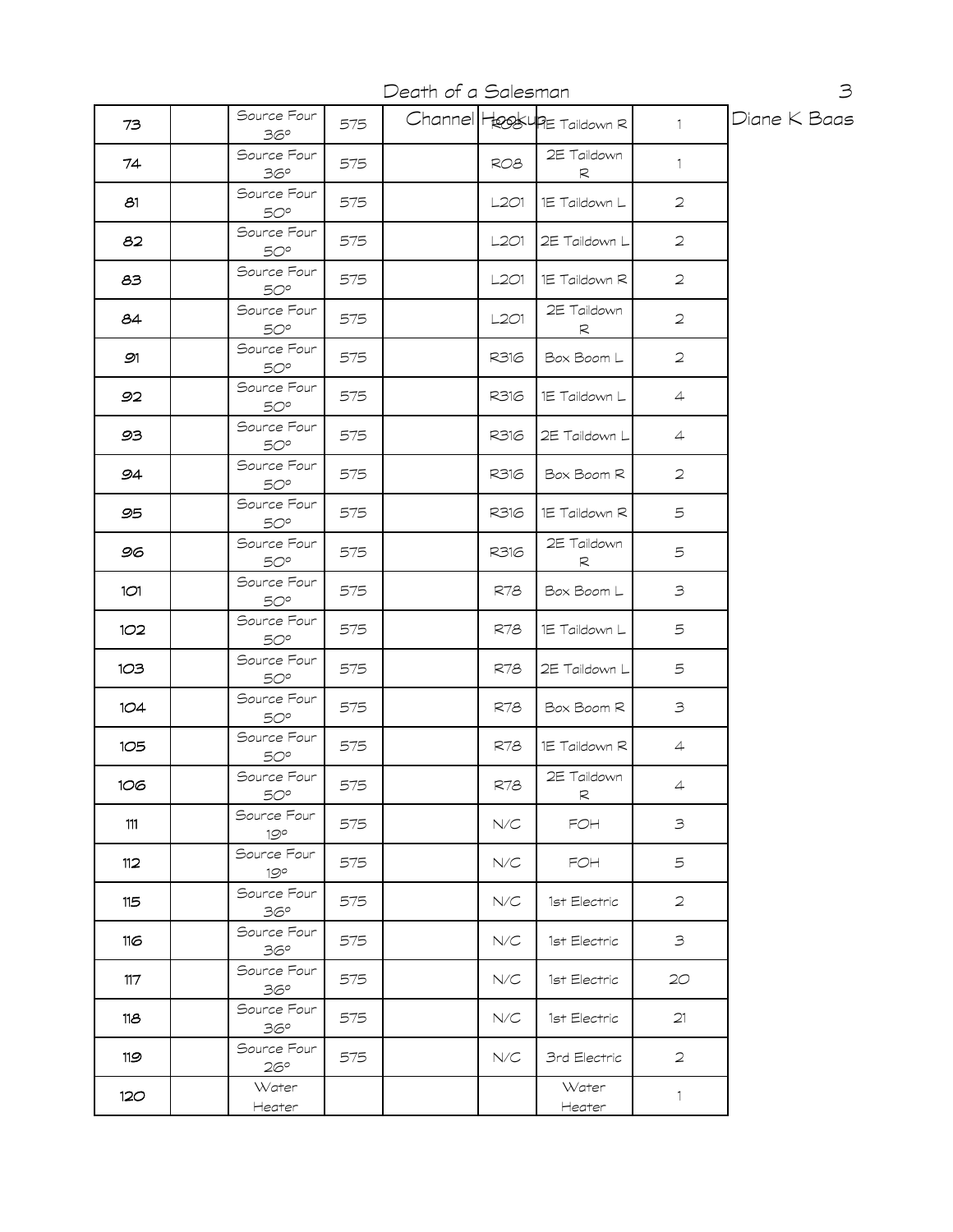Death of a Salesman

| 73  | Source Four<br>36°          | 575 |      | Channel HookupE Taildown R | $\mathbf{1}$   | Diane K Baas |
|-----|-----------------------------|-----|------|----------------------------|----------------|--------------|
| 74  | Source Four<br>36°          | 575 | RO8  | 2E Taildown<br>R           | $\mathbf{1}$   |              |
| 81  | Source Four<br>50°          | 575 | L2O1 | 1E Taildown L              | $\overline{2}$ |              |
| 82  | Source Four<br>50°          | 575 | L2O1 | 2E Taildown L              | $\overline{2}$ |              |
| 83  | Source Four<br>50°          | 575 | L2O1 | 1E Taildown R              | $\overline{2}$ |              |
| 84  | Source Four<br>50°          | 575 | L2O1 | 2E Taildown<br>R           | $\overline{2}$ |              |
| 91  | Source Four<br>$50^\circ$   | 575 | R316 | Box Boom L                 | $\overline{2}$ |              |
| 92  | Source Four<br>50°          | 575 | R316 | 1E Taildown L              | $\overline{4}$ |              |
| 93  | Source Four<br>50°          | 575 | R316 | 2E Taildown L              | $\overline{4}$ |              |
| 94  | Source Four<br>$50^{\circ}$ | 575 | R316 | Box Boom R                 | $\overline{2}$ |              |
| 95  | Source Four<br>50°          | 575 | R316 | 1E Taildown R              | 5              |              |
| 96  | Source Four<br>50°          | 575 | R316 | 2E Taildown<br>R           | 5              |              |
| 1O1 | Source Four<br>$50^{\circ}$ | 575 | R78  | Box Boom L                 | 3              |              |
| 102 | Source Four<br>$50^{\circ}$ | 575 | R78  | 1E Taildown L              | 5              |              |
| 1O3 | Source Four<br>50°          | 575 | R78  | 2E Taildown L              | 5              |              |
| 104 | Source Four<br>50°          | 575 | R78  | Box Boom R                 | 3              |              |
| 105 | Source Four<br>50°          | 575 | R78  | 1E Taildown R              | $\overline{4}$ |              |
| 106 | Source Four<br><b>50°</b>   | 575 | R78  | 2E Taildown<br>R           | $\overline{4}$ |              |
| 111 | Source Four<br>19°          | 575 | N/C  | FOH                        | 3              |              |
| 112 | Source Four<br>$19^{\circ}$ | 575 | N/C  | FOH                        | 5              |              |
| 115 | Source Four<br>36°          | 575 | N/C  | 1st Electric               | $\overline{2}$ |              |
| 116 | Source Four<br>36°          | 575 | N/C  | 1st Electric               | 3              |              |
| 117 | Source Four<br>36°          | 575 | N/C  | 1st Electric               | 20             |              |
| 118 | Source Four<br>36°          | 575 | N/C  | 1st Electric               | 21             |              |
| 119 | Source Four<br>$26^{\circ}$ | 575 | N/C  | 3rd Electric               | $\overline{2}$ |              |
| 120 | Water<br>Heater             |     |      | Water<br>Heater            | 1              |              |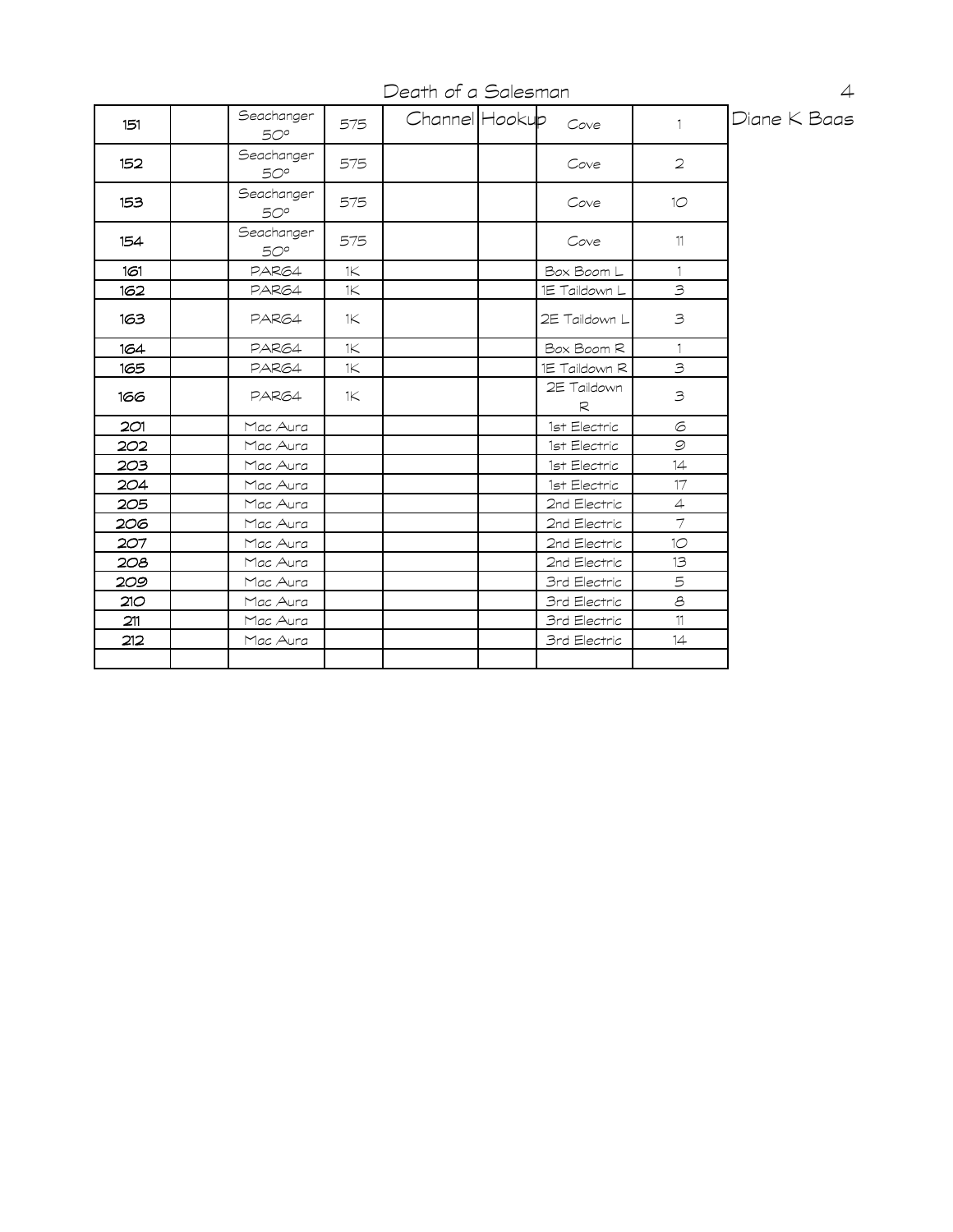Death of a Salesman

| 151 | Seachanger<br>50° | 575            | Channel Hookup | Cove             | $\mathbf{1}$   | Diane K Baas |
|-----|-------------------|----------------|----------------|------------------|----------------|--------------|
| 152 | Seachanger<br>50° | 575            |                | Cove             | $\overline{2}$ |              |
| 153 | Seachanger<br>50° | 575            |                | Cove             | 10             |              |
| 154 | Seachanger<br>50° | 575            |                | Cove             | 11             |              |
| 161 | PAR64             | 1 <sup>2</sup> |                | Box Boom L       | $\mathbf{1}$   |              |
| 162 | PAR64             | 1 <sup>2</sup> |                | 1E Taildown L    | 3              |              |
| 163 | PAR64             | 1 <sup>2</sup> |                | 2E Taildown L    | 3              |              |
| 164 | PAR64             | 1K             |                | Box Boom R       | $\mathbf{1}$   |              |
| 165 | PAR64             | 1K             |                | 1E Taildown R    | $\mathbf{B}$   |              |
| 166 | PAR64             | 1 <sup>2</sup> |                | 2E Taildown<br>R | 3              |              |
| 2O1 | Mac Aura          |                |                | 1st Electric     | $\odot$        |              |
| 202 | Mac Aura          |                |                | 1st Electric     | $\mathcal{Q}$  |              |
| 203 | Mac Aura          |                |                | 1st Electric     | 14             |              |
| 204 | Mac Aura          |                |                | 1st Electric     | 17             |              |
| 205 | Mac Aura          |                |                | 2nd Electric     | $\overline{4}$ |              |
| 206 | Mac Aura          |                |                | 2nd Electric     | $\tau$         |              |
| 207 | Mac Aura          |                |                | 2nd Electric     | 10             |              |
| 208 | Mac Aura          |                |                | 2nd Electric     | 13             |              |
| 209 | Mac Aura          |                |                | 3rd Electric     | 5              |              |
| 210 | Mac Aura          |                |                | 3rd Electric     | $\mathcal S$   |              |
| 211 | Mac Aura          |                |                | 3rd Electric     | 11             |              |
| 212 | Mac Aura          |                |                | 3rd Electric     | 14             |              |
|     |                   |                |                |                  |                |              |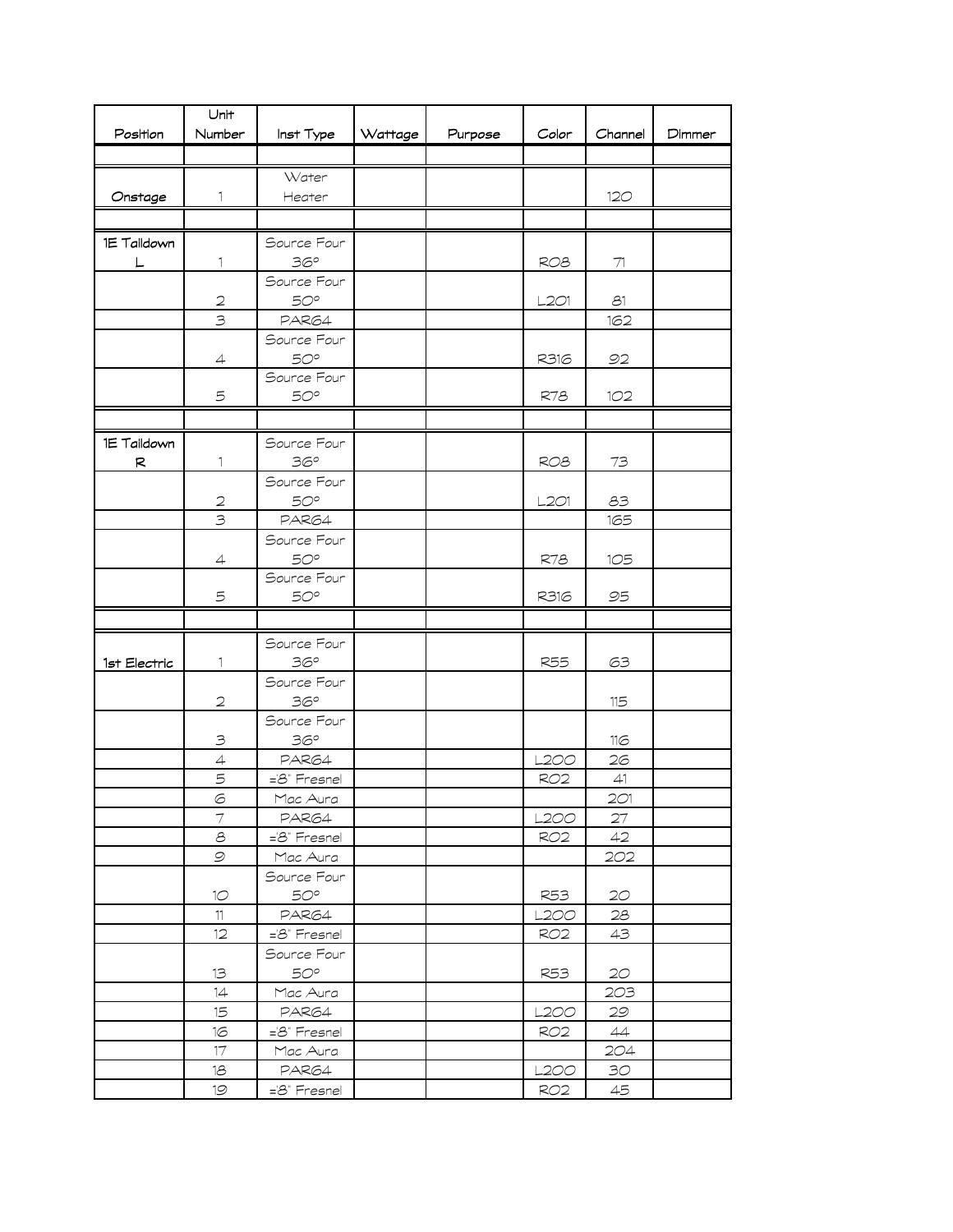|              | Unit                    |                       |         |         |                         |                                   |        |
|--------------|-------------------------|-----------------------|---------|---------|-------------------------|-----------------------------------|--------|
| Position     | Number                  | Inst Type             | Wattage | Purpose | Color                   | Channel                           | Dimmer |
|              |                         |                       |         |         |                         |                                   |        |
|              |                         | Water                 |         |         |                         |                                   |        |
| Onstage      | $\mathbb{1}$            | Heater                |         |         |                         | 12 <sub>O</sub>                   |        |
|              |                         |                       |         |         |                         |                                   |        |
| 1E Taildown  |                         | Source Four           |         |         |                         |                                   |        |
|              | 1                       | 36°                   |         |         | RO <sub>8</sub>         | 71                                |        |
|              |                         | Source Four           |         |         |                         |                                   |        |
|              | $\overline{2}$          | 50°                   |         |         | L2O1                    | 631                               |        |
|              | $\overline{\mathbf{3}}$ | PAR64                 |         |         |                         | 162                               |        |
|              |                         | Source Four           |         |         |                         |                                   |        |
|              | 4                       | 50°                   |         |         | R316                    | 92                                |        |
|              |                         | Source Four           |         |         |                         |                                   |        |
|              | 5                       | 50°                   |         |         | R78                     | 1O2                               |        |
|              |                         |                       |         |         |                         |                                   |        |
| 1E Taildown  |                         | Source Four           |         |         |                         |                                   |        |
| R            | 1                       | 36°                   |         |         | RO <sub>8</sub>         | 73                                |        |
|              |                         | Source Four           |         |         |                         |                                   |        |
|              | $\mathbf{2}$            | 50°                   |         |         | L2O1                    | 83                                |        |
|              | $\overline{\mathbf{3}}$ | PAR64                 |         |         |                         | 165                               |        |
|              |                         | Source Four           |         |         |                         |                                   |        |
|              | $\overline{4}$          | 50°                   |         |         | R78                     | 105                               |        |
|              |                         | Source Four           |         |         |                         |                                   |        |
|              | 5                       | $50^{\circ}$          |         |         | R316                    | 95                                |        |
|              |                         |                       |         |         |                         |                                   |        |
|              |                         | Source Four           |         |         |                         |                                   |        |
| 1st Electric | 1                       | 36°                   |         |         | R55                     | 63                                |        |
|              |                         | Source Four           |         |         |                         |                                   |        |
|              | $\mathfrak{D}$          | 36°                   |         |         |                         | 115                               |        |
|              |                         | Source Four           |         |         |                         |                                   |        |
|              | 3                       | 36°                   |         |         |                         | 116                               |        |
|              | $\overline{4}$          | PAR64                 |         |         | L2OO                    | 26                                |        |
|              | 5                       | ='8" Fresnel          |         |         | RO <sub>2</sub>         | $\ensuremath{\mathcal{A}}\xspace$ |        |
|              | $\circ$                 | Mac Aura              |         |         |                         | 2O1                               |        |
|              | $\tau$<br>$\mathcal S$  | PAR64<br>='8" Fresnel |         |         | L2OO<br>RO <sub>2</sub> | 27<br>42                          |        |
|              | $\mathcal{Q}$           | Mac Aura              |         |         |                         | 202                               |        |
|              |                         | Source Four           |         |         |                         |                                   |        |
|              | 10                      | $50^\circ$            |         |         | R53                     | 20                                |        |
|              | 11                      | PAR64                 |         |         | L200                    | 28                                |        |
|              | 12                      | ='8" Fresnel          |         |         | RO <sub>2</sub>         | 43                                |        |
|              |                         | Source Four           |         |         |                         |                                   |        |
|              | 13                      | $50^\circ$            |         |         | <b>R53</b>              | 20                                |        |
|              | 14                      | Mac Aura              |         |         |                         | 203                               |        |
|              | 15                      | PAR64                 |         |         | <b>L200</b>             | 29                                |        |
|              | 16                      | ='8" Fresnel          |         |         | RO2                     | 44                                |        |
|              | 17                      | Mac Aura              |         |         |                         | 204                               |        |
|              | 18                      | PAR64                 |         |         | L200                    | 30 <sub>o</sub>                   |        |
|              | 19                      | ='8" Fresnel          |         |         | RO2                     | 45                                |        |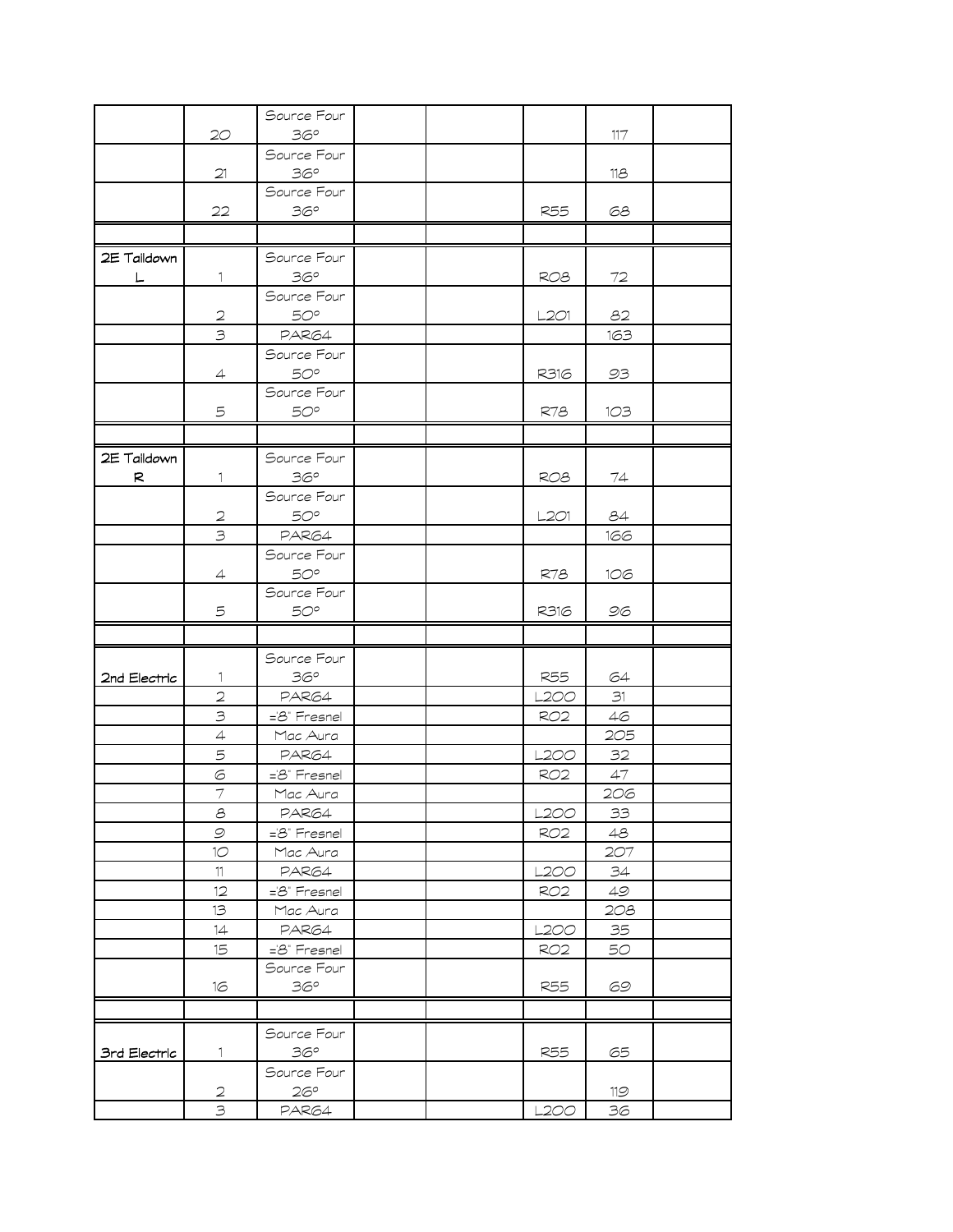|              |                                                                                                                    | Source Four                 |  |                 |        |  |
|--------------|--------------------------------------------------------------------------------------------------------------------|-----------------------------|--|-----------------|--------|--|
|              | 20                                                                                                                 | 36°                         |  |                 | 117    |  |
|              |                                                                                                                    | Source Four                 |  |                 |        |  |
|              | 21                                                                                                                 | 36°                         |  |                 | 118    |  |
|              |                                                                                                                    | Source Four                 |  |                 |        |  |
|              | 22                                                                                                                 | 36°                         |  | <b>R55</b>      | 68     |  |
|              |                                                                                                                    |                             |  |                 |        |  |
| 2E Taildown  |                                                                                                                    | Source Four                 |  |                 |        |  |
| L.           | 1                                                                                                                  | 36°                         |  | RO <sub>8</sub> | $72\,$ |  |
|              |                                                                                                                    | Source Four                 |  |                 |        |  |
|              | $\mathfrak{D}% _{T}=\mathfrak{D}_{T}\!\left( a,b\right) ,\ \mathfrak{D}_{T}=\mathfrak{D}_{T}\!\left( a,b\right) ,$ | 50°                         |  | L201            | 82     |  |
|              | $\overline{\mathbf{3}}$                                                                                            | PAR64                       |  |                 | 163    |  |
|              |                                                                                                                    | Source Four                 |  |                 |        |  |
|              | $\overline{4}$                                                                                                     | $50^{\circ}$                |  | R316            | 93     |  |
|              |                                                                                                                    | Source Four                 |  |                 |        |  |
|              | 5                                                                                                                  | $50^{\circ}$                |  | R78             | 1O3    |  |
|              |                                                                                                                    |                             |  |                 |        |  |
|              |                                                                                                                    |                             |  |                 |        |  |
| 2E Taildown  |                                                                                                                    | Source Four                 |  |                 |        |  |
| R            | 1.                                                                                                                 | 36°                         |  | RO8             | 74     |  |
|              |                                                                                                                    | Source Four                 |  |                 |        |  |
|              | $\mathfrak{D}$                                                                                                     | $50^{\circ}$                |  | L2O1            | 84     |  |
|              | 3                                                                                                                  | PAR64                       |  |                 | 166    |  |
|              |                                                                                                                    | Source Four                 |  |                 |        |  |
|              | $\overline{4}$                                                                                                     | 50°                         |  | R78             | 106    |  |
|              | 5                                                                                                                  | Source Four<br>$50^{\circ}$ |  | R316            | 96     |  |
|              |                                                                                                                    |                             |  |                 |        |  |
|              |                                                                                                                    |                             |  |                 |        |  |
|              |                                                                                                                    | Source Four                 |  |                 |        |  |
| 2nd Electric | 1.                                                                                                                 | 36°                         |  | <b>R55</b>      | 64     |  |
|              | $\mathbf{2}$                                                                                                       | PAR64                       |  | L2OO            | 31     |  |
|              | $\mathcal{B}$                                                                                                      | ='8" Fresnel                |  | <b>RO2</b>      | 46     |  |
|              | $\overline{4}$                                                                                                     | Mac Aura                    |  |                 | 205    |  |
|              | 5                                                                                                                  | PAR64                       |  | L2OO            | 32     |  |
|              | 6                                                                                                                  | =8" Fresnel                 |  | <b>RO2</b>      | 47     |  |
|              | $\overline{\mathcal{I}}$                                                                                           | Mac Aura                    |  |                 | 206    |  |
|              | 8                                                                                                                  | PAR64                       |  | L200            | 33     |  |
|              | $\mathcal{Q}$                                                                                                      | ='8" Fresnel                |  | RO <sub>2</sub> | 48     |  |
|              | 10 <sup>o</sup>                                                                                                    | Mac Aura                    |  |                 | 207    |  |
|              | 11                                                                                                                 | PAR64                       |  | L2OO            | 34     |  |
|              | 12                                                                                                                 | ='8" Fresnel                |  | RO <sub>2</sub> | 49     |  |
|              | 13                                                                                                                 | Mac Aura                    |  |                 | 208    |  |
|              | 14                                                                                                                 | PAR64                       |  | L2OO            | 35     |  |
|              | 15                                                                                                                 | ='8" Fresnel                |  | RO <sub>2</sub> | 50     |  |
|              |                                                                                                                    | Source Four                 |  |                 |        |  |
|              | 16                                                                                                                 | 36°                         |  | R55             | 69     |  |
|              |                                                                                                                    |                             |  |                 |        |  |
|              |                                                                                                                    | Source Four                 |  |                 |        |  |
| 3rd Electric | 1                                                                                                                  | 36°                         |  | <b>R55</b>      | 65     |  |
|              |                                                                                                                    | Source Four                 |  |                 |        |  |
|              | $\mathfrak{D}$                                                                                                     | 26°                         |  |                 | 119    |  |
|              | 3                                                                                                                  | PAR64                       |  | L2OO            | 36     |  |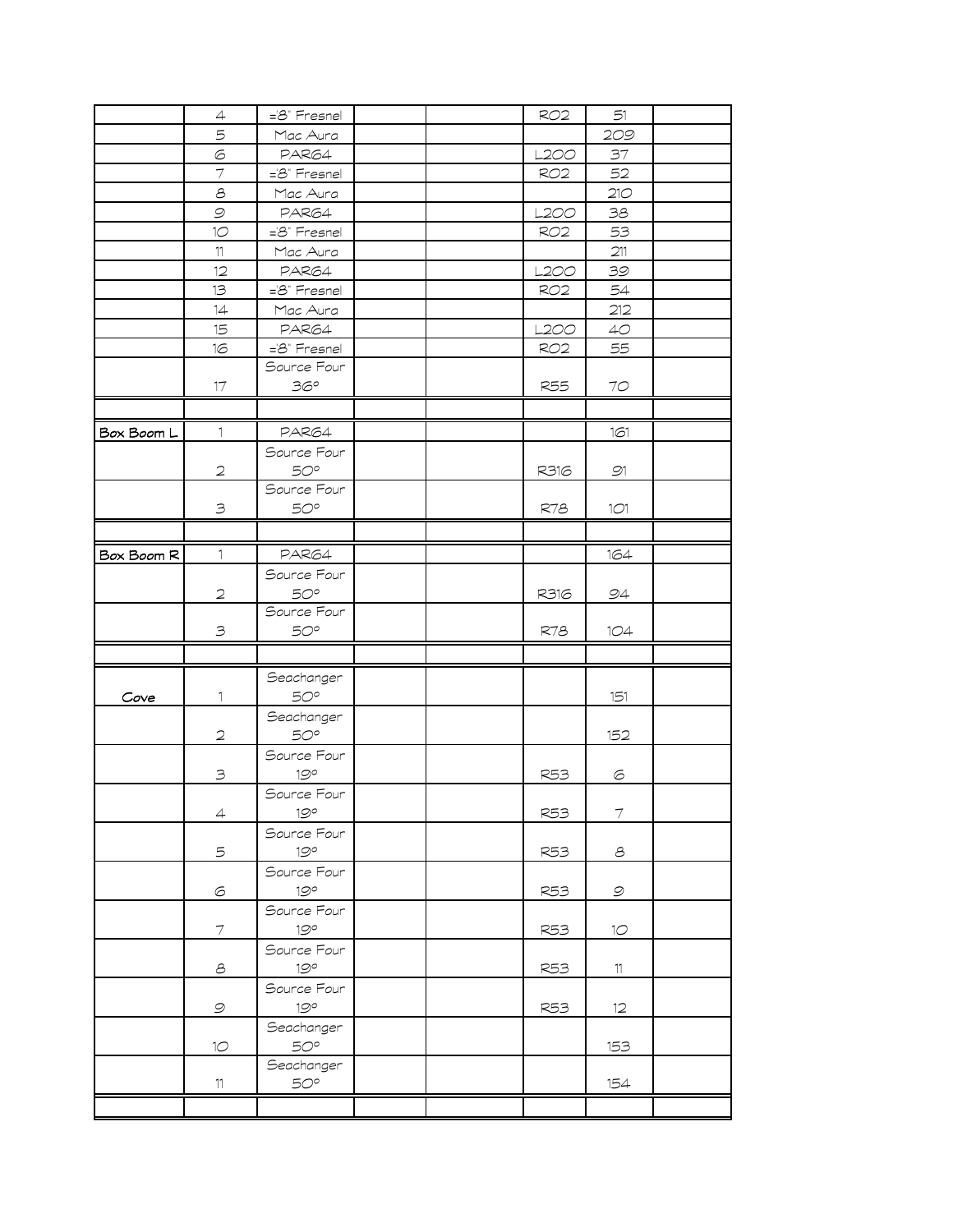|            | $\overline{4}$           | ='8" Fresnel               |  | <b>RO2</b>      | 51                       |  |
|------------|--------------------------|----------------------------|--|-----------------|--------------------------|--|
|            | 5                        | Mac Aura                   |  |                 | 209                      |  |
|            | 6                        | PAR64                      |  | L2OO            | 37                       |  |
|            | $\overline{7}$           | ='8" Fresnel               |  | RO <sub>2</sub> | 52                       |  |
|            | $\mathcal S$             | Mac Aura                   |  |                 | 210                      |  |
|            | $\mathcal{Q}$            | PAR64                      |  | L200            | 38                       |  |
|            | 10                       | ='8" Fresnel               |  | RO <sub>2</sub> | 53                       |  |
|            | 11                       | Mac Aura                   |  |                 | 211                      |  |
|            | 12                       | PAR64                      |  | L200            | 39                       |  |
|            | 13                       | ='8" Fresnel               |  | <b>RO2</b>      | 54                       |  |
|            | 14                       | Mac Aura                   |  |                 | 212                      |  |
|            | 15                       | PAR64                      |  | <b>L200</b>     | 4O                       |  |
|            | 16                       | ='8" Fresnel               |  | <b>RO2</b>      | 55                       |  |
|            |                          | Source Four                |  |                 |                          |  |
|            | 17                       | 36°                        |  | <b>R55</b>      | 70                       |  |
|            |                          |                            |  |                 |                          |  |
| Box Boom L | 1                        | PAR64                      |  |                 | 161                      |  |
|            |                          | Source Four                |  |                 |                          |  |
|            | $\mathbf{2}$             | $50^{\circ}$               |  | R316            | 91                       |  |
|            |                          | Source Four                |  |                 |                          |  |
|            | $\mathbf{B}$             | $50^{\circ}$               |  | R78             | 1O1                      |  |
|            |                          |                            |  |                 |                          |  |
| Box Boom R | $\mathbf{1}$             | PAR64                      |  |                 | 164                      |  |
|            |                          | Source Four                |  |                 |                          |  |
|            | $\mathfrak{D}$           | $50^{\circ}$               |  | R316            | 94                       |  |
|            |                          | Source Four                |  |                 |                          |  |
|            | $\mathbf{B}$             | $50^{\circ}$               |  | R78             | 1O4                      |  |
|            |                          |                            |  |                 |                          |  |
|            |                          |                            |  |                 |                          |  |
| Cove       | 1                        | Seachanger<br>$50^{\circ}$ |  |                 | 151                      |  |
|            |                          | Seachanger                 |  |                 |                          |  |
|            | $\mathfrak{D}$           | $50^{\circ}$               |  |                 | 152                      |  |
|            |                          | Source Four                |  |                 |                          |  |
|            | 3                        | $19^{\circ}$               |  | R53             | 6                        |  |
|            |                          | Source Four                |  |                 |                          |  |
|            | $\overline{4}$           | 19°                        |  | <b>R53</b>      | $\overline{\mathcal{I}}$ |  |
|            |                          | Source Four                |  |                 |                          |  |
|            | 5                        | 19°                        |  | <b>R53</b>      | $\mathcal S$             |  |
|            |                          | Source Four                |  |                 |                          |  |
|            | $\odot$                  | 19°                        |  | <b>R53</b>      | $\mathcal{Q}$            |  |
|            |                          | Source Four                |  |                 |                          |  |
|            | $\overline{\mathcal{I}}$ | 19°                        |  | <b>R53</b>      | 10                       |  |
|            |                          | Source Four                |  |                 |                          |  |
|            | $\mathcal S$             | 19°                        |  | <b>R53</b>      | 11                       |  |
|            |                          | Source Four                |  |                 |                          |  |
|            | $\mathcal{Q}$            | 19°                        |  | <b>R53</b>      | 12                       |  |
|            |                          | Seachanger                 |  |                 |                          |  |
|            | $1\circlearrowright$     | 50°                        |  |                 | 153                      |  |
|            |                          | Seachanger                 |  |                 |                          |  |
|            | $11\,$                   | 50°                        |  |                 | 154                      |  |
|            |                          |                            |  |                 |                          |  |